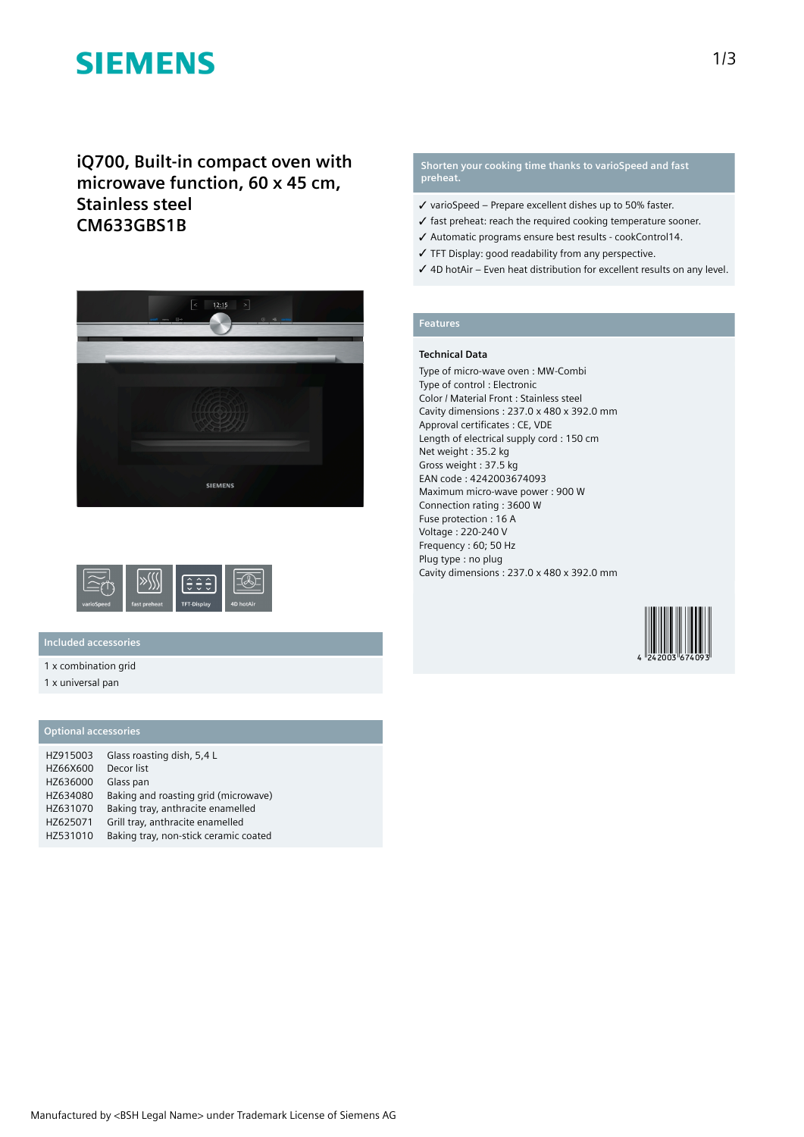# **SIEMENS**

**iQ700, Built-in compact oven with microwave function, 60 x 45 cm, Stainless steel CM633GBS1B**





## **Included accessories**

1 x combination grid

1 x universal pan

## **Optional accessories**

| HZ915003 | Glass roasting dish, 5,4 L            |
|----------|---------------------------------------|
| HZ66X600 | Decor list                            |
| HZ636000 | Glass pan                             |
| HZ634080 | Baking and roasting grid (microwave)  |
| HZ631070 | Baking tray, anthracite enamelled     |
| HZ625071 | Grill tray, anthracite enamelled      |
| HZ531010 | Baking tray, non-stick ceramic coated |

### **Shorten your cooking time thanks to varioSpeed and fast preheat.**

- ✓ varioSpeed Prepare excellent dishes up to 50% faster.
- ✓ fast preheat: reach the required cooking temperature sooner.
- ✓ Automatic programs ensure best results cookControl14.
- ✓ TFT Display: good readability from any perspective.
- ✓ 4D hotAir Even heat distribution for excellent results on any level.

## **Features**

#### **Technical Data**

Type of micro-wave oven : MW-Combi Type of control : Electronic Color / Material Front : Stainless steel Cavity dimensions : 237.0 x 480 x 392.0 mm Approval certificates : CE, VDE Length of electrical supply cord : 150 cm Net weight : 35.2 kg Gross weight : 37.5 kg EAN code : 4242003674093 Maximum micro-wave power : 900 W Connection rating : 3600 W Fuse protection : 16 A Voltage : 220-240 V Frequency : 60; 50 Hz Plug type : no plug Cavity dimensions : 237.0 x 480 x 392.0 mm

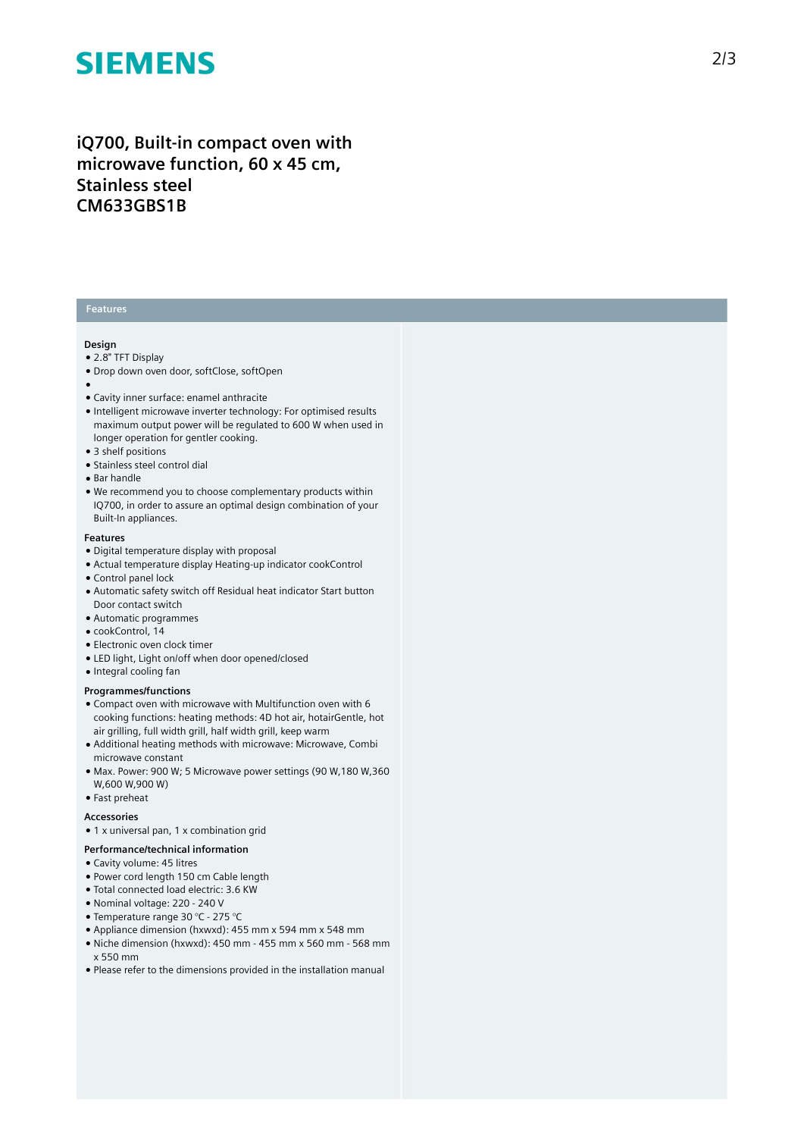# **SIEMENS**

# iQ700, Built-in compact oven with microwave function, 60 x 45 cm, **S t a i n l e s s s t e e l CM633GBS1B**

### **Features**

#### **Design**

- 2.8" TFT Display
- Drop down oven door, softClose, softOpen
- 
- ●<br>● Cavity inner surface: enamel anthracite
- Intelligent microwave inverter technology: For optimised results maximum output power will be regulated to 600 W when used in longer operation for gentler cooking.
- 3 shelf positions
- Stainless steel control dial
- Bar handle
- We recommend you to choose complementary products within IQ700, in order to assure an optimal design combination of you r Built-In appliances.

#### **F e a t u r e s**

- Digital temperature display with proposal
- Actual temperature display Heating-up indicator cookControl
- Control panel lock
- Automatic safety switch off Residual heat indicator Start button Door contact switch
- Automatic programmes
- cookControl, 14
- $\bullet$  Electronic oven clock timer
- LED light, Light on/off when door opened/closed
- Integral cooling fan

#### **Programmes/functions**

- Compact oven with microwave with Multifunction oven with 6 cooking functions: heating methods: 4D hot air, hotairGentle, hot air grilling, full width grill, half width grill, keep warm
- Additional heating methods with microwave: Microwave, Combi microwave constant
- Max. Power: 900 W; 5 Microwave power settings (90 W,180 W,360 W,600 W,900 W)
- Fast preheat

#### **A c c e s s o r i e s**

• 1 x universal pan, 1 x combination grid

#### Performance/technical information

#### • Cavity volume: 45 litres

- Power cord length 150 cm Cable length
- Total connected load electric: 3.6 KW
- Nominal voltage: 220 240 V
- Temperature range 30 °C 275 °C
- Appliance dimension (hxwxd): 455 mm x 594 mm x 548 mm
- Niche dimension (hxwxd): 450 mm 455 mm x 560 mm 56 8 m m x 550 mm
- Please refer to the dimensions provided in the installation manual